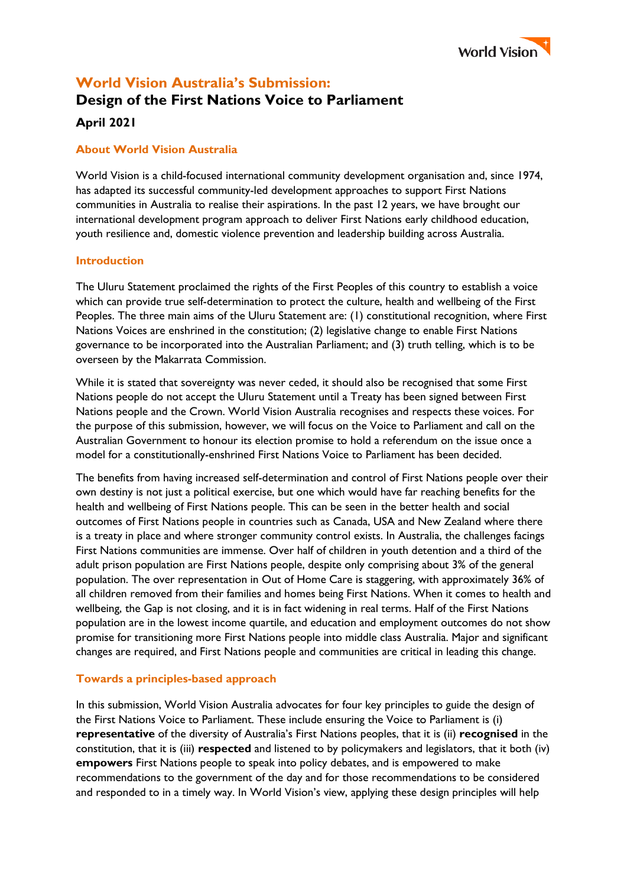

# **World Vision Australia's Submission: Design of the First Nations Voice to Parliament**

# **April 2021**

# **About World Vision Australia**

World Vision is a child-focused international community development organisation and, since 1974, has adapted its successful community-led development approaches to support First Nations communities in Australia to realise their aspirations. In the past 12 years, we have brought our international development program approach to deliver First Nations early childhood education, youth resilience and, domestic violence prevention and leadership building across Australia.

# **Introduction**

The Uluru Statement proclaimed the rights of the First Peoples of this country to establish a voice which can provide true self-determination to protect the culture, health and wellbeing of the First Peoples. The three main aims of the Uluru Statement are: (1) constitutional recognition, where First Nations Voices are enshrined in the constitution; (2) legislative change to enable First Nations governance to be incorporated into the Australian Parliament; and (3) truth telling, which is to be overseen by the Makarrata Commission.

While it is stated that sovereignty was never ceded, it should also be recognised that some First Nations people do not accept the Uluru Statement until a Treaty has been signed between First Nations people and the Crown. World Vision Australia recognises and respects these voices. For the purpose of this submission, however, we will focus on the Voice to Parliament and call on the Australian Government to honour its election promise to hold a referendum on the issue once a model for a constitutionally-enshrined First Nations Voice to Parliament has been decided.

The benefits from having increased self-determination and control of First Nations people over their own destiny is not just a political exercise, but one which would have far reaching benefits for the health and wellbeing of First Nations people. This can be seen in the better health and social outcomes of First Nations people in countries such as Canada, USA and New Zealand where there is a treaty in place and where stronger community control exists. In Australia, the challenges facings First Nations communities are immense. Over half of children in youth detention and a third of the adult prison population are First Nations people, despite only comprising about 3% of the general population. The over representation in Out of Home Care is staggering, with approximately 36% of all children removed from their families and homes being First Nations. When it comes to health and wellbeing, the Gap is not closing, and it is in fact widening in real terms. Half of the First Nations population are in the lowest income quartile, and education and employment outcomes do not show promise for transitioning more First Nations people into middle class Australia. Major and significant changes are required, and First Nations people and communities are critical in leading this change.

# **Towards a principles-based approach**

In this submission, World Vision Australia advocates for four key principles to guide the design of the First Nations Voice to Parliament. These include ensuring the Voice to Parliament is (i) **representative** of the diversity of Australia's First Nations peoples, that it is (ii) **recognised** in the constitution, that it is (iii) **respected** and listened to by policymakers and legislators, that it both (iv) **empowers** First Nations people to speak into policy debates, and is empowered to make recommendations to the government of the day and for those recommendations to be considered and responded to in a timely way. In World Vision's view, applying these design principles will help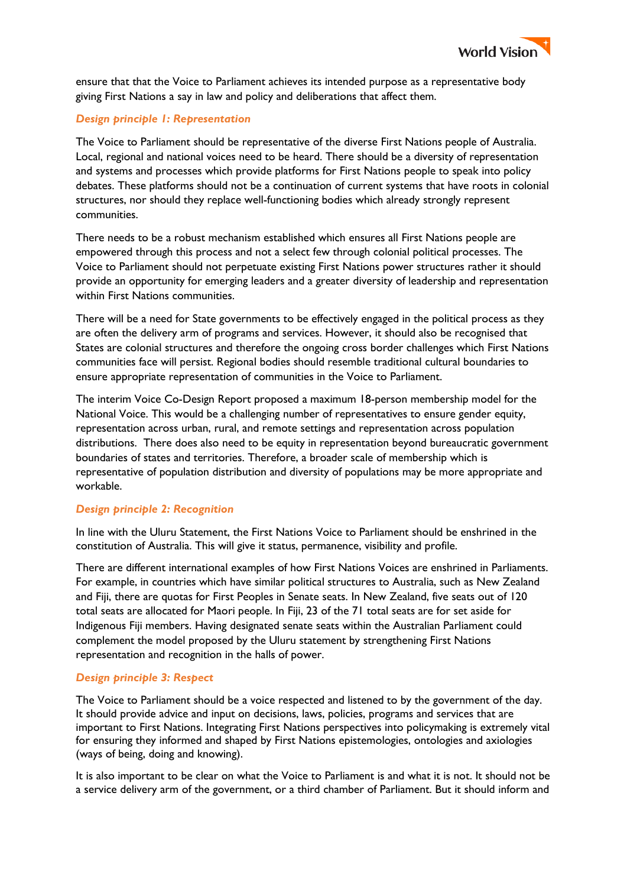

ensure that that the Voice to Parliament achieves its intended purpose as a representative body giving First Nations a say in law and policy and deliberations that affect them.

#### *Design principle 1: Representation*

The Voice to Parliament should be representative of the diverse First Nations people of Australia. Local, regional and national voices need to be heard. There should be a diversity of representation and systems and processes which provide platforms for First Nations people to speak into policy debates. These platforms should not be a continuation of current systems that have roots in colonial structures, nor should they replace well-functioning bodies which already strongly represent communities.

There needs to be a robust mechanism established which ensures all First Nations people are empowered through this process and not a select few through colonial political processes. The Voice to Parliament should not perpetuate existing First Nations power structures rather it should provide an opportunity for emerging leaders and a greater diversity of leadership and representation within First Nations communities.

There will be a need for State governments to be effectively engaged in the political process as they are often the delivery arm of programs and services. However, it should also be recognised that States are colonial structures and therefore the ongoing cross border challenges which First Nations communities face will persist. Regional bodies should resemble traditional cultural boundaries to ensure appropriate representation of communities in the Voice to Parliament.

The interim Voice Co-Design Report proposed a maximum 18-person membership model for the National Voice. This would be a challenging number of representatives to ensure gender equity, representation across urban, rural, and remote settings and representation across population distributions. There does also need to be equity in representation beyond bureaucratic government boundaries of states and territories. Therefore, a broader scale of membership which is representative of population distribution and diversity of populations may be more appropriate and workable.

#### *Design principle 2: Recognition*

In line with the Uluru Statement, the First Nations Voice to Parliament should be enshrined in the constitution of Australia. This will give it status, permanence, visibility and profile.

There are different international examples of how First Nations Voices are enshrined in Parliaments. For example, in countries which have similar political structures to Australia, such as New Zealand and Fiji, there are quotas for First Peoples in Senate seats. In New Zealand, five seats out of 120 total seats are allocated for Maori people. In Fiji, 23 of the 71 total seats are for set aside for Indigenous Fiji members. Having designated senate seats within the Australian Parliament could complement the model proposed by the Uluru statement by strengthening First Nations representation and recognition in the halls of power.

#### *Design principle 3: Respect*

The Voice to Parliament should be a voice respected and listened to by the government of the day. It should provide advice and input on decisions, laws, policies, programs and services that are important to First Nations. Integrating First Nations perspectives into policymaking is extremely vital for ensuring they informed and shaped by First Nations epistemologies, ontologies and axiologies (ways of being, doing and knowing).

It is also important to be clear on what the Voice to Parliament is and what it is not. It should not be a service delivery arm of the government, or a third chamber of Parliament. But it should inform and